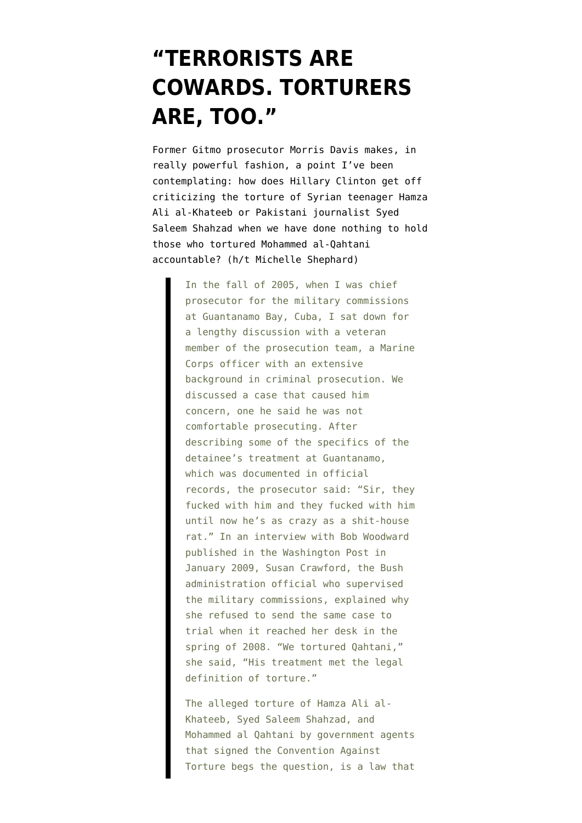## **["TERRORISTS ARE](https://www.emptywheel.net/2011/06/03/terrorists-are-cowards-torturers-are-too/) [COWARDS. TORTURERS](https://www.emptywheel.net/2011/06/03/terrorists-are-cowards-torturers-are-too/) [ARE, TOO."](https://www.emptywheel.net/2011/06/03/terrorists-are-cowards-torturers-are-too/)**

Former Gitmo prosecutor Morris Davis makes, [in](http://www.crimesofwar.org/commentary/torture-finding-our-moral-compass/) [really powerful fashion,](http://www.crimesofwar.org/commentary/torture-finding-our-moral-compass/) a point I've been contemplating: how does Hillary Clinton get off criticizing the torture of Syrian teenager Hamza Ali al-Khateeb or Pakistani journalist Syed Saleem Shahzad when we have done nothing to hold those who tortured Mohammed al-Qahtani accountable? (h/t [Michelle Shephard](http://twitter.com/shephardm/statuses/76718605680656384))

> In the fall of 2005, when I was chief prosecutor for the military commissions at Guantanamo Bay, Cuba, I sat down for a lengthy discussion with a veteran member of the prosecution team, a Marine Corps officer with an extensive background in criminal prosecution. We discussed a case that caused him concern, one he said he was not comfortable prosecuting. After describing some of the specifics of the detainee's treatment at Guantanamo, which was documented in official records, the prosecutor said: "Sir, they fucked with him and they fucked with him until now he's as crazy as a shit-house rat." In an interview with Bob Woodward published in the Washington Post in January 2009, Susan Crawford, the Bush administration official who supervised the military commissions, explained why she refused to send the same case to trial when it reached her desk in the spring of 2008. "We tortured Qahtani," she said, "His treatment met the legal definition of torture."

> The alleged torture of Hamza Ali al-Khateeb, Syed Saleem Shahzad, and Mohammed al Qahtani by government agents that signed the Convention Against Torture begs the question, is a law that